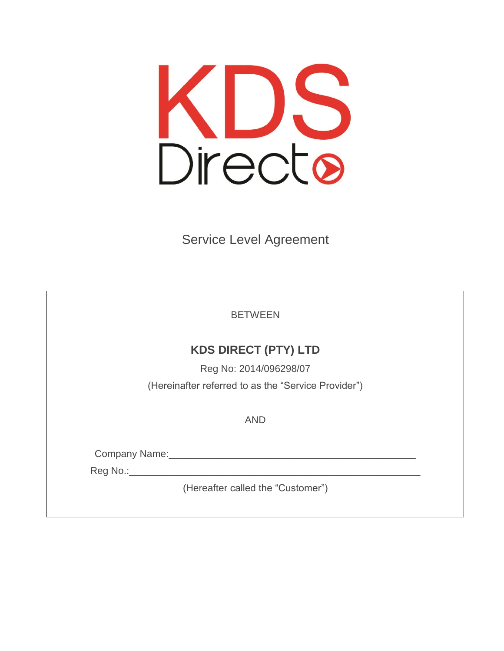

Service Level Agreement

**BETWEEN** 

# **KDS DIRECT (PTY) LTD**

Reg No: 2014/096298/07 (Hereinafter referred to as the "Service Provider")

AND

Company Name:\_\_\_\_\_\_\_\_\_\_\_\_\_\_\_\_\_\_\_\_\_\_\_\_\_\_\_\_\_\_\_\_\_\_\_\_\_\_\_\_\_\_\_\_\_

Reg No.:\_\_\_\_\_\_\_\_\_\_\_\_\_\_\_\_\_\_\_\_\_\_\_\_\_\_\_\_\_\_\_\_\_\_\_\_\_\_\_\_\_\_\_\_\_\_\_\_\_\_\_\_\_

(Hereafter called the "Customer")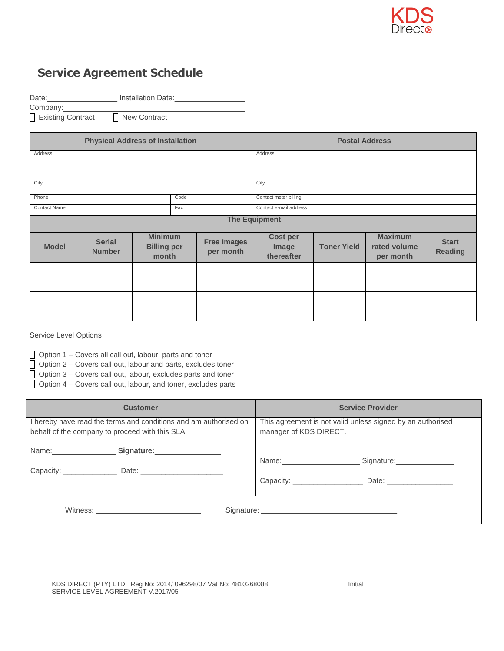

## **Service Agreement Schedule**

Date:\_\_\_\_\_\_\_\_\_\_\_\_\_\_\_\_\_\_\_\_\_\_\_\_ Installation Date:\_

Company:

Existing Contract **New Contract** 

| <b>Physical Address of Installation</b> |                                |                                               |     | <b>Postal Address</b>           |                                        |                    |                                             |                                |
|-----------------------------------------|--------------------------------|-----------------------------------------------|-----|---------------------------------|----------------------------------------|--------------------|---------------------------------------------|--------------------------------|
| Address                                 |                                |                                               |     |                                 | Address                                |                    |                                             |                                |
|                                         |                                |                                               |     |                                 |                                        |                    |                                             |                                |
| City                                    |                                |                                               |     | City                            |                                        |                    |                                             |                                |
| Phone<br>Code                           |                                |                                               |     | Contact meter billing           |                                        |                    |                                             |                                |
| <b>Contact Name</b>                     |                                |                                               | Fax |                                 | Contact e-mail address                 |                    |                                             |                                |
| <b>The Equipment</b>                    |                                |                                               |     |                                 |                                        |                    |                                             |                                |
| <b>Model</b>                            | <b>Serial</b><br><b>Number</b> | <b>Minimum</b><br><b>Billing per</b><br>month |     | <b>Free Images</b><br>per month | <b>Cost per</b><br>Image<br>thereafter | <b>Toner Yield</b> | <b>Maximum</b><br>rated volume<br>per month | <b>Start</b><br><b>Reading</b> |
|                                         |                                |                                               |     |                                 |                                        |                    |                                             |                                |
|                                         |                                |                                               |     |                                 |                                        |                    |                                             |                                |
|                                         |                                |                                               |     |                                 |                                        |                    |                                             |                                |
|                                         |                                |                                               |     |                                 |                                        |                    |                                             |                                |

Service Level Options

Option 1 – Covers all call out, labour, parts and toner

Option 2 – Covers call out, labour and parts, excludes toner

 $\Box$  Option 3 – Covers call out, labour, excludes parts and toner

 $\Box$  Option 4 – Covers call out, labour, and toner, excludes parts

| <b>Customer</b>                                                  | <b>Service Provider</b>                                    |  |  |
|------------------------------------------------------------------|------------------------------------------------------------|--|--|
| I hereby have read the terms and conditions and am authorised on | This agreement is not valid unless signed by an authorised |  |  |
| behalf of the company to proceed with this SLA.                  | manager of KDS DIRECT.                                     |  |  |
|                                                                  | Name: Signature: Signature:                                |  |  |
| Capacity: Date: Date:                                            |                                                            |  |  |
|                                                                  |                                                            |  |  |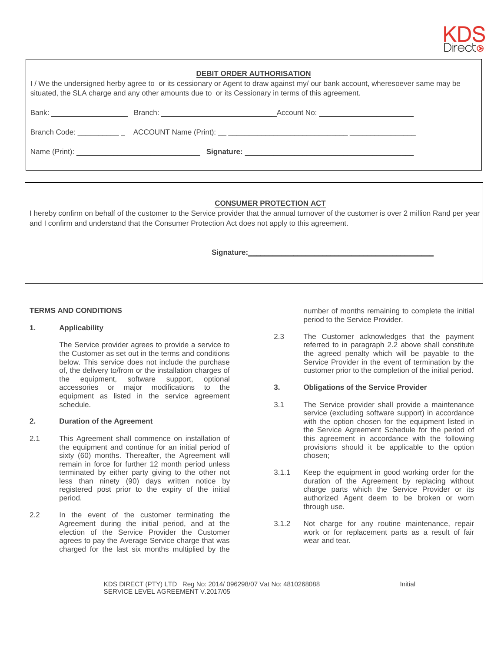

| <b>DEBIT ORDER AUTHORISATION</b>                                                                                                                                                                                                   |  |                                                                                   |  |  |  |  |
|------------------------------------------------------------------------------------------------------------------------------------------------------------------------------------------------------------------------------------|--|-----------------------------------------------------------------------------------|--|--|--|--|
| I/We the undersigned herby agree to or its cessionary or Agent to draw against my/our bank account, wheresoever same may be<br>situated, the SLA charge and any other amounts due to or its Cessionary in terms of this agreement. |  |                                                                                   |  |  |  |  |
|                                                                                                                                                                                                                                    |  |                                                                                   |  |  |  |  |
|                                                                                                                                                                                                                                    |  |                                                                                   |  |  |  |  |
|                                                                                                                                                                                                                                    |  | Branch Code: _______________ACCOUNT Name (Print): _______________________________ |  |  |  |  |
|                                                                                                                                                                                                                                    |  |                                                                                   |  |  |  |  |

### **CONSUMER PROTECTION ACT**

I hereby confirm on behalf of the customer to the Service provider that the annual turnover of the customer is over 2 million Rand per year and I confirm and understand that the Consumer Protection Act does not apply to this agreement.

 **Signature:\_\_\_\_\_\_\_\_\_\_\_\_\_\_\_\_\_\_\_\_\_\_\_\_\_\_\_\_\_\_\_\_\_\_\_\_\_\_\_\_\_\_\_\_\_**

#### **TERMS AND CONDITIONS**

#### **1. Applicability**

The Service provider agrees to provide a service to the Customer as set out in the terms and conditions below. This service does not include the purchase of, the delivery to/from or the installation charges of the equipment, software support, optional accessories or major modifications to the equipment as listed in the service agreement schedule.

#### **2. Duration of the Agreement**

- 2.1 This Agreement shall commence on installation of the equipment and continue for an initial period of sixty (60) months. Thereafter, the Agreement will remain in force for further 12 month period unless terminated by either party giving to the other not less than ninety (90) days written notice by registered post prior to the expiry of the initial period.
- 2.2 In the event of the customer terminating the Agreement during the initial period, and at the election of the Service Provider the Customer agrees to pay the Average Service charge that was charged for the last six months multiplied by the

number of months remaining to complete the initial period to the Service Provider.

2.3 The Customer acknowledges that the payment referred to in paragraph 2.2 above shall constitute the agreed penalty which will be payable to the Service Provider in the event of termination by the customer prior to the completion of the initial period.

#### **3. Obligations of the Service Provider**

- 3.1 The Service provider shall provide a maintenance service (excluding software support) in accordance with the option chosen for the equipment listed in the Service Agreement Schedule for the period of this agreement in accordance with the following provisions should it be applicable to the option chosen;
- 3.1.1 Keep the equipment in good working order for the duration of the Agreement by replacing without charge parts which the Service Provider or its authorized Agent deem to be broken or worn through use.
- 3.1.2 Not charge for any routine maintenance, repair work or for replacement parts as a result of fair wear and tear.

KDS DIRECT (PTY) LTD Reg No: 2014/ 096298/07 Vat No: 4810268088 Initial SERVICE LEVEL AGREEMENT V.2017/05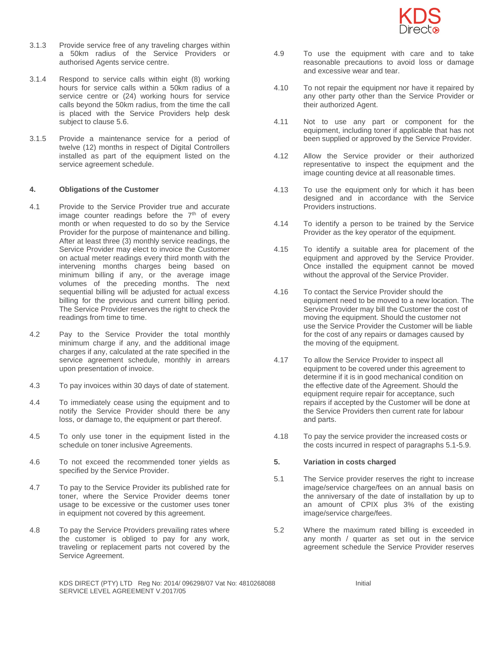

- 3.1.3 Provide service free of any traveling charges within a 50km radius of the Service Providers or authorised Agents service centre.
- 3.1.4 Respond to service calls within eight (8) working hours for service calls within a 50km radius of a service centre or (24) working hours for service calls beyond the 50km radius, from the time the call is placed with the Service Providers help desk subject to clause 5.6.
- 3.1.5 Provide a maintenance service for a period of twelve (12) months in respect of Digital Controllers installed as part of the equipment listed on the service agreement schedule.

#### **4. Obligations of the Customer**

- 4.1 Provide to the Service Provider true and accurate image counter readings before the  $7<sup>th</sup>$  of every month or when requested to do so by the Service Provider for the purpose of maintenance and billing. After at least three (3) monthly service readings, the Service Provider may elect to invoice the Customer on actual meter readings every third month with the intervening months charges being based on minimum billing if any, or the average image volumes of the preceding months. The next sequential billing will be adjusted for actual excess billing for the previous and current billing period. The Service Provider reserves the right to check the readings from time to time.
- 4.2 Pay to the Service Provider the total monthly minimum charge if any, and the additional image charges if any, calculated at the rate specified in the service agreement schedule, monthly in arrears upon presentation of invoice.
- 4.3 To pay invoices within 30 days of date of statement.
- 4.4 To immediately cease using the equipment and to notify the Service Provider should there be any loss, or damage to, the equipment or part thereof.
- 4.5 To only use toner in the equipment listed in the schedule on toner inclusive Agreements.
- 4.6 To not exceed the recommended toner yields as specified by the Service Provider.
- 4.7 To pay to the Service Provider its published rate for toner, where the Service Provider deems toner usage to be excessive or the customer uses toner in equipment not covered by this agreement.
- 4.8 To pay the Service Providers prevailing rates where the customer is obliged to pay for any work, traveling or replacement parts not covered by the Service Agreement.
- 4.9 To use the equipment with care and to take reasonable precautions to avoid loss or damage and excessive wear and tear.
- 4.10 To not repair the equipment nor have it repaired by any other party other than the Service Provider or their authorized Agent.
- 4.11 Not to use any part or component for the equipment, including toner if applicable that has not been supplied or approved by the Service Provider.
- 4.12 Allow the Service provider or their authorized representative to inspect the equipment and the image counting device at all reasonable times.
- 4.13 To use the equipment only for which it has been designed and in accordance with the Service Providers instructions.
- 4.14 To identify a person to be trained by the Service Provider as the key operator of the equipment.
- 4.15 To identify a suitable area for placement of the equipment and approved by the Service Provider. Once installed the equipment cannot be moved without the approval of the Service Provider.
- 4.16 To contact the Service Provider should the equipment need to be moved to a new location. The Service Provider may bill the Customer the cost of moving the equipment. Should the customer not use the Service Provider the Customer will be liable for the cost of any repairs or damages caused by the moving of the equipment.
- 4.17 To allow the Service Provider to inspect all equipment to be covered under this agreement to determine if it is in good mechanical condition on the effective date of the Agreement. Should the equipment require repair for acceptance, such repairs if accepted by the Customer will be done at the Service Providers then current rate for labour and parts.
- 4.18 To pay the service provider the increased costs or the costs incurred in respect of paragraphs 5.1-5.9.

#### **5. Variation in costs charged**

- 5.1 The Service provider reserves the right to increase image/service charge/fees on an annual basis on the anniversary of the date of installation by up to an amount of CPIX plus 3% of the existing image/service charge/fees.
- 5.2 Where the maximum rated billing is exceeded in any month / quarter as set out in the service agreement schedule the Service Provider reserves

KDS DIRECT (PTY) LTD Reg No: 2014/ 096298/07 Vat No: 4810268088 Initial SERVICE LEVEL AGREEMENT V.2017/05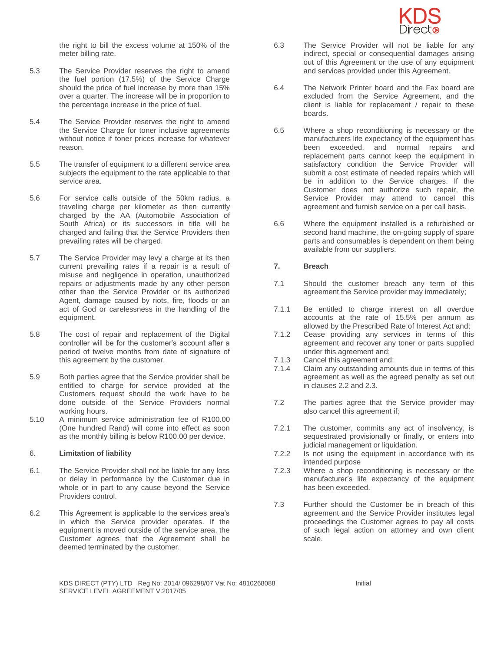

the right to bill the excess volume at 150% of the meter billing rate.

- 5.3 The Service Provider reserves the right to amend the fuel portion (17.5%) of the Service Charge should the price of fuel increase by more than 15% over a quarter. The increase will be in proportion to the percentage increase in the price of fuel.
- 5.4 The Service Provider reserves the right to amend the Service Charge for toner inclusive agreements without notice if toner prices increase for whatever reason.
- 5.5 The transfer of equipment to a different service area subjects the equipment to the rate applicable to that service area.
- 5.6 For service calls outside of the 50km radius, a traveling charge per kilometer as then currently charged by the AA (Automobile Association of South Africa) or its successors in title will be charged and failing that the Service Providers then prevailing rates will be charged.
- 5.7 The Service Provider may levy a charge at its then current prevailing rates if a repair is a result of misuse and negligence in operation, unauthorized repairs or adjustments made by any other person other than the Service Provider or its authorized Agent, damage caused by riots, fire, floods or an act of God or carelessness in the handling of the equipment.
- 5.8 The cost of repair and replacement of the Digital controller will be for the customer's account after a period of twelve months from date of signature of this agreement by the customer.
- 5.9 Both parties agree that the Service provider shall be entitled to charge for service provided at the Customers request should the work have to be done outside of the Service Providers normal working hours.
- 5.10 A minimum service administration fee of R100.00 (One hundred Rand) will come into effect as soon as the monthly billing is below R100.00 per device.

#### 6. **Limitation of liability**

- 6.1 The Service Provider shall not be liable for any loss or delay in performance by the Customer due in whole or in part to any cause beyond the Service Providers control.
- 6.2 This Agreement is applicable to the services area's in which the Service provider operates. If the equipment is moved outside of the service area, the Customer agrees that the Agreement shall be deemed terminated by the customer.
- 6.3 The Service Provider will not be liable for any indirect, special or consequential damages arising out of this Agreement or the use of any equipment and services provided under this Agreement.
- 6.4 The Network Printer board and the Fax board are excluded from the Service Agreement, and the client is liable for replacement / repair to these boards.
- 6.5 Where a shop reconditioning is necessary or the manufacturers life expectancy of the equipment has been exceeded, and normal repairs and replacement parts cannot keep the equipment in satisfactory condition the Service Provider will submit a cost estimate of needed repairs which will be in addition to the Service charges. If the Customer does not authorize such repair, the Service Provider may attend to cancel this agreement and furnish service on a per call basis.
- 6.6 Where the equipment installed is a refurbished or second hand machine, the on-going supply of spare parts and consumables is dependent on them being available from our suppliers.

#### **7. Breach**

- 7.1 Should the customer breach any term of this agreement the Service provider may immediately;
- 7.1.1 Be entitled to charge interest on all overdue accounts at the rate of 15.5% per annum as allowed by the Prescribed Rate of Interest Act and;
- 7.1.2 Cease providing any services in terms of this agreement and recover any toner or parts supplied under this agreement and;
- 7.1.3 Cancel this agreement and;
- 7.1.4 Claim any outstanding amounts due in terms of this agreement as well as the agreed penalty as set out in clauses 2.2 and 2.3.
- 7.2 The parties agree that the Service provider may also cancel this agreement if;
- 7.2.1 The customer, commits any act of insolvency, is sequestrated provisionally or finally, or enters into judicial management or liquidation.
- 7.2.2 Is not using the equipment in accordance with its intended purpose
- 7.2.3 Where a shop reconditioning is necessary or the manufacturer's life expectancy of the equipment has been exceeded.
- 7.3 Further should the Customer be in breach of this agreement and the Service Provider institutes legal proceedings the Customer agrees to pay all costs of such legal action on attorney and own client scale.

KDS DIRECT (PTY) LTD Reg No: 2014/ 096298/07 Vat No: 4810268088 Initial SERVICE LEVEL AGREEMENT V.2017/05